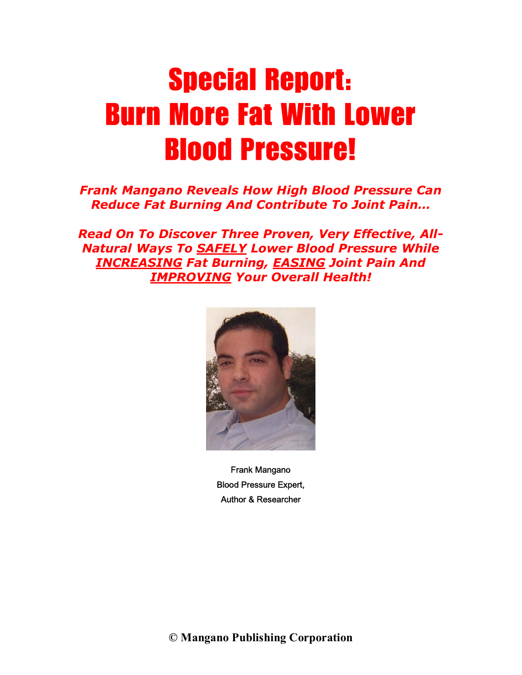# Special Report: Burn More Fat With Lower Blood Pressure!

### *Frank Mangano Reveals How High Blood Pressure Can Reduce Fat Burning And Contribute To Joint Pain…*

*Read On To Discover Three Proven, Very Effective, All-Natural Ways To SAFELY Lower Blood Pressure While INCREASING Fat Burning, EASING Joint Pain And IMPROVING Your Overall Health!*



Frank Mangano Blood Pressure Expert, Author & Researcher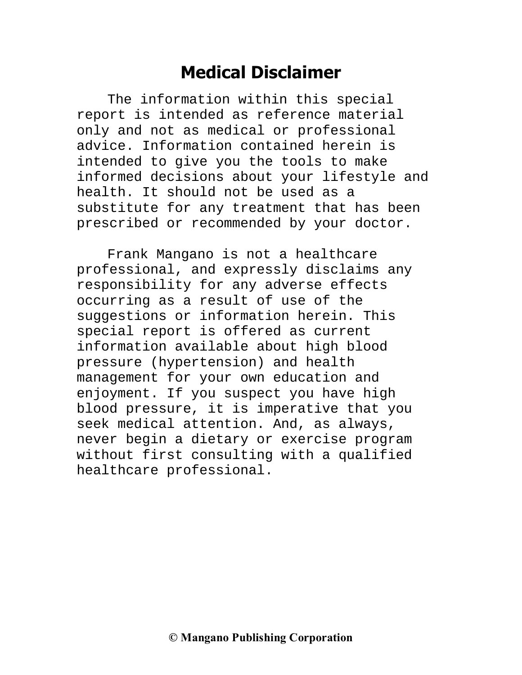## **Medical Disclaimer**

The information within this special report is intended as reference material only and not as medical or professional advice. Information contained herein is intended to give you the tools to make informed decisions about your lifestyle and health. It should not be used as a substitute for any treatment that has been prescribed or recommended by your doctor.

Frank Mangano is not a healthcare professional, and expressly disclaims any responsibility for any adverse effects occurring as a result of use of the suggestions or information herein. This special report is offered as current information available about high blood pressure (hypertension) and health management for your own education and enjoyment. If you suspect you have high blood pressure, it is imperative that you seek medical attention. And, as always, never begin a dietary or exercise program without first consulting with a qualified healthcare professional.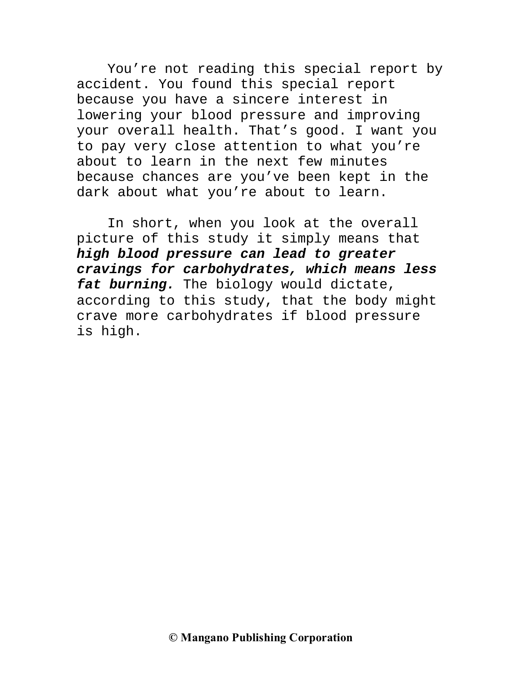You're not reading this special report by accident. You found this special report because you have a sincere interest in lowering your blood pressure and improving your overall health. That's good. I want you to pay very close attention to what you're about to learn in the next few minutes because chances are you've been kept in the dark about what you're about to learn.

In short, when you look at the overall picture of this study it simply means that **high blood pressure can lead to greater cravings for carbohydrates, which means less fat burning.** The biology would dictate, according to this study, that the body might crave more carbohydrates if blood pressure is high.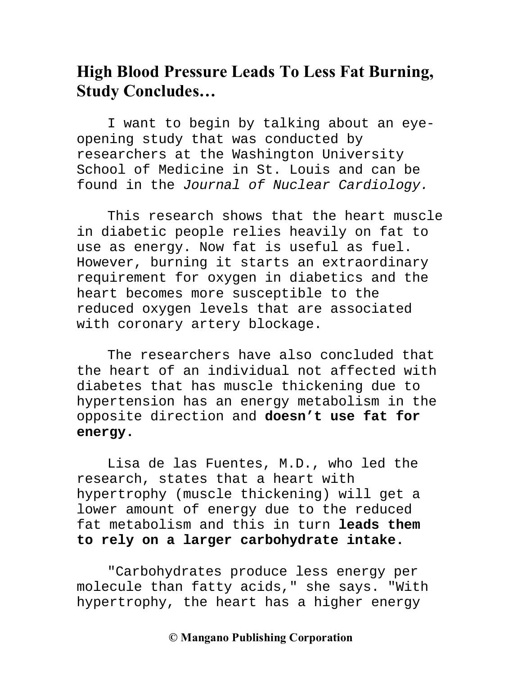### **High Blood Pressure Leads To Less Fat Burning, Study Concludes…**

I want to begin by talking about an eyeopening study that was conducted by researchers at the Washington University School of Medicine in St. Louis and can be found in the Journal of Nuclear Cardiology.

This research shows that the heart muscle in diabetic people relies heavily on fat to use as energy. Now fat is useful as fuel. However, burning it starts an extraordinary requirement for oxygen in diabetics and the heart becomes more susceptible to the reduced oxygen levels that are associated with coronary artery blockage.

The researchers have also concluded that the heart of an individual not affected with diabetes that has muscle thickening due to hypertension has an energy metabolism in the opposite direction and **doesn't use fat for energy.**

Lisa de las Fuentes, M.D., who led the research, states that a heart with hypertrophy (muscle thickening) will get a lower amount of energy due to the reduced fat metabolism and this in turn **leads them to rely on a larger carbohydrate intake.**

"Carbohydrates produce less energy per molecule than fatty acids," she says. "With hypertrophy, the heart has a higher energy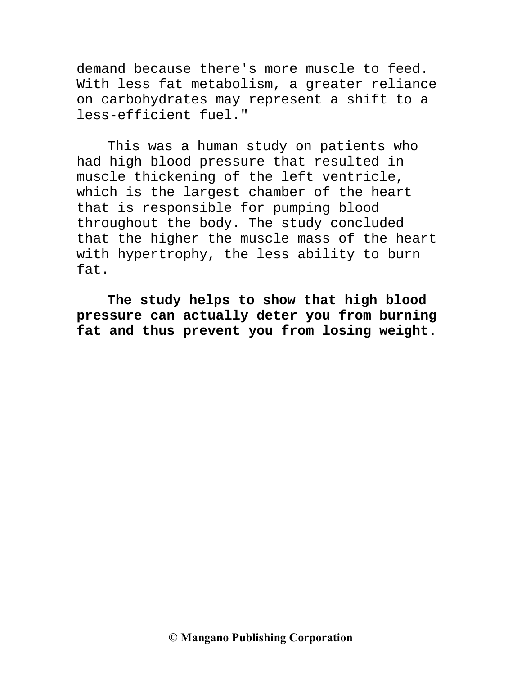demand because there's more muscle to feed. With less fat metabolism, a greater reliance on carbohydrates may represent a shift to a less-efficient fuel."

This was a human study on patients who had high blood pressure that resulted in muscle thickening of the left ventricle, which is the largest chamber of the heart that is responsible for pumping blood throughout the body. The study concluded that the higher the muscle mass of the heart with hypertrophy, the less ability to burn fat.

**The study helps to show that high blood pressure can actually deter you from burning fat and thus prevent you from losing weight.**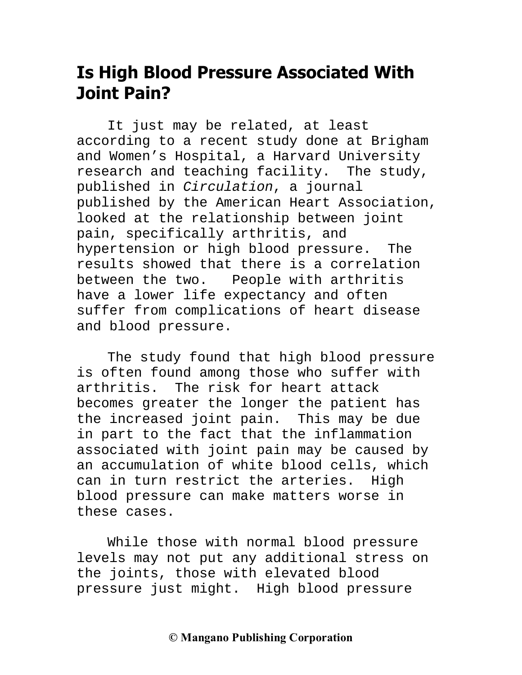### **Is High Blood Pressure Associated With Joint Pain?**

It just may be related, at least according to a recent study done at Brigham and Women's Hospital, a Harvard University research and teaching facility. The study, published in Circulation, a journal published by the American Heart Association, looked at the relationship between joint pain, specifically arthritis, and hypertension or high blood pressure. The results showed that there is a correlation between the two. People with arthritis have a lower life expectancy and often suffer from complications of heart disease and blood pressure.

The study found that high blood pressure is often found among those who suffer with arthritis. The risk for heart attack becomes greater the longer the patient has the increased joint pain. This may be due in part to the fact that the inflammation associated with joint pain may be caused by an accumulation of white blood cells, which can in turn restrict the arteries. High blood pressure can make matters worse in these cases.

While those with normal blood pressure levels may not put any additional stress on the joints, those with elevated blood pressure just might. High blood pressure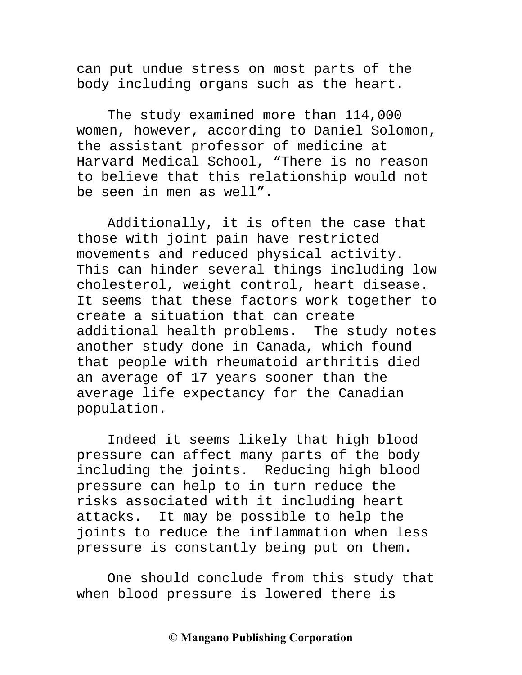can put undue stress on most parts of the body including organs such as the heart.

The study examined more than 114,000 women, however, according to Daniel Solomon, the assistant professor of medicine at Harvard Medical School, "There is no reason to believe that this relationship would not be seen in men as well".

Additionally, it is often the case that those with joint pain have restricted movements and reduced physical activity. This can hinder several things including low cholesterol, weight control, heart disease. It seems that these factors work together to create a situation that can create additional health problems. The study notes another study done in Canada, which found that people with rheumatoid arthritis died an average of 17 years sooner than the average life expectancy for the Canadian population.

Indeed it seems likely that high blood pressure can affect many parts of the body including the joints. Reducing high blood pressure can help to in turn reduce the risks associated with it including heart attacks. It may be possible to help the joints to reduce the inflammation when less pressure is constantly being put on them.

One should conclude from this study that when blood pressure is lowered there is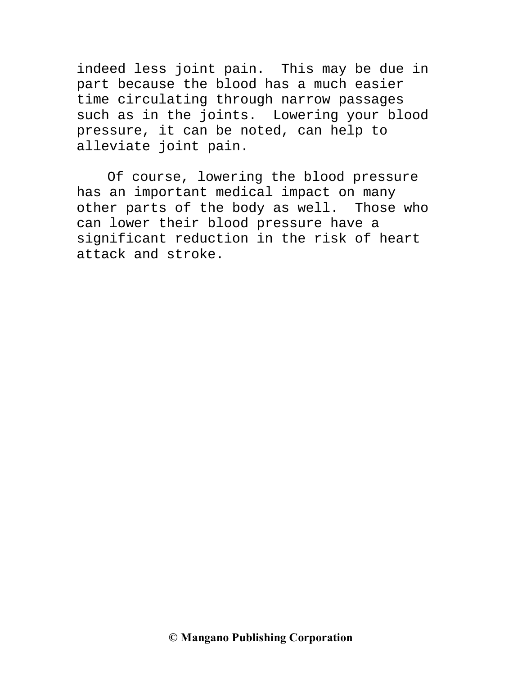indeed less joint pain. This may be due in part because the blood has a much easier time circulating through narrow passages such as in the joints. Lowering your blood pressure, it can be noted, can help to alleviate joint pain.

Of course, lowering the blood pressure has an important medical impact on many other parts of the body as well. Those who can lower their blood pressure have a significant reduction in the risk of heart attack and stroke.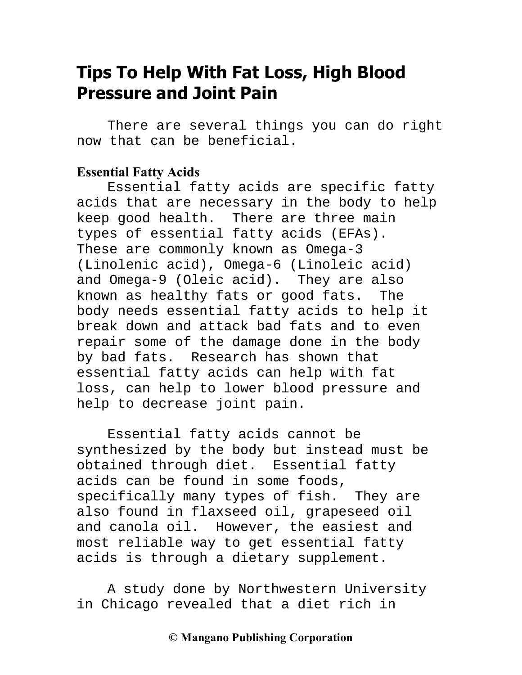### **Tips To Help With Fat Loss, High Blood Pressure and Joint Pain**

There are several things you can do right now that can be beneficial.

#### **Essential Fatty Acids**

Essential fatty acids are specific fatty acids that are necessary in the body to help keep good health. There are three main types of essential fatty acids (EFAs). These are commonly known as Omega-3 (Linolenic acid), Omega-6 (Linoleic acid) and Omega-9 (Oleic acid). They are also known as healthy fats or good fats. The body needs essential fatty acids to help it break down and attack bad fats and to even repair some of the damage done in the body by bad fats. Research has shown that essential fatty acids can help with fat loss, can help to lower blood pressure and help to decrease joint pain.

Essential fatty acids cannot be synthesized by the body but instead must be obtained through diet. Essential fatty acids can be found in some foods, specifically many types of fish. They are also found in flaxseed oil, grapeseed oil and canola oil. However, the easiest and most reliable way to get essential fatty acids is through a dietary supplement.

A study done by Northwestern University in Chicago revealed that a diet rich in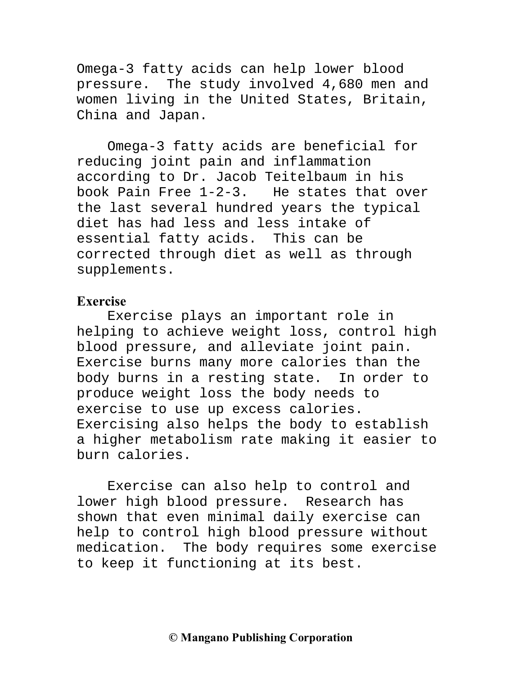Omega-3 fatty acids can help lower blood pressure. The study involved 4,680 men and women living in the United States, Britain, China and Japan.

Omega-3 fatty acids are beneficial for reducing joint pain and inflammation according to Dr. Jacob Teitelbaum in his book Pain Free 1-2-3. He states that over the last several hundred years the typical diet has had less and less intake of essential fatty acids. This can be corrected through diet as well as through supplements.

### **Exercise**

Exercise plays an important role in helping to achieve weight loss, control high blood pressure, and alleviate joint pain. Exercise burns many more calories than the body burns in a resting state. In order to produce weight loss the body needs to exercise to use up excess calories. Exercising also helps the body to establish a higher metabolism rate making it easier to burn calories.

Exercise can also help to control and lower high blood pressure. Research has shown that even minimal daily exercise can help to control high blood pressure without medication. The body requires some exercise to keep it functioning at its best.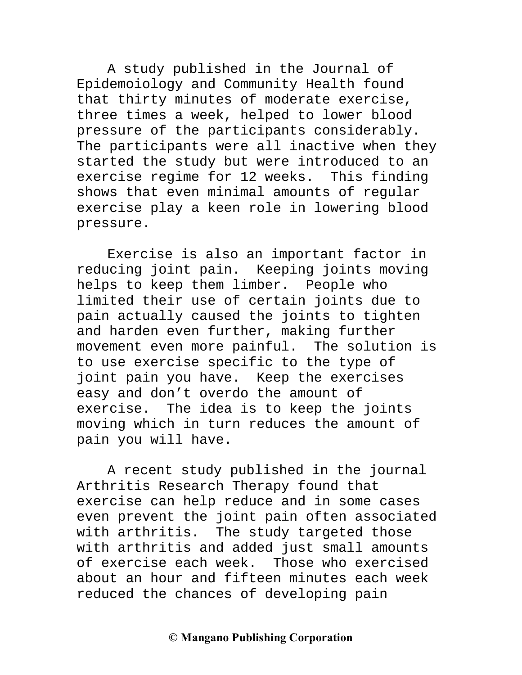A study published in the Journal of Epidemoiology and Community Health found that thirty minutes of moderate exercise, three times a week, helped to lower blood pressure of the participants considerably. The participants were all inactive when they started the study but were introduced to an exercise regime for 12 weeks. This finding shows that even minimal amounts of regular exercise play a keen role in lowering blood pressure.

Exercise is also an important factor in reducing joint pain. Keeping joints moving helps to keep them limber. People who limited their use of certain joints due to pain actually caused the joints to tighten and harden even further, making further movement even more painful. The solution is to use exercise specific to the type of joint pain you have. Keep the exercises easy and don't overdo the amount of exercise. The idea is to keep the joints moving which in turn reduces the amount of pain you will have.

A recent study published in the journal Arthritis Research Therapy found that exercise can help reduce and in some cases even prevent the joint pain often associated with arthritis. The study targeted those with arthritis and added just small amounts of exercise each week. Those who exercised about an hour and fifteen minutes each week reduced the chances of developing pain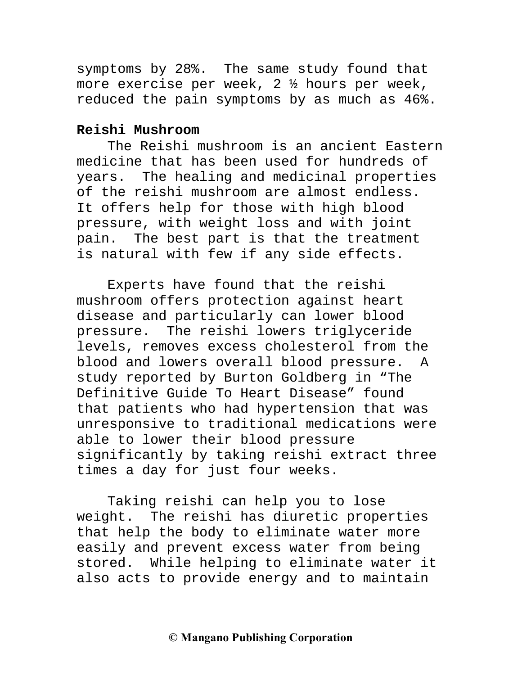symptoms by 28%. The same study found that more exercise per week, 2 ½ hours per week, reduced the pain symptoms by as much as 46%.

#### **Reishi Mushroom**

The Reishi mushroom is an ancient Eastern medicine that has been used for hundreds of years. The healing and medicinal properties of the reishi mushroom are almost endless. It offers help for those with high blood pressure, with weight loss and with joint pain. The best part is that the treatment is natural with few if any side effects.

Experts have found that the reishi mushroom offers protection against heart disease and particularly can lower blood pressure. The reishi lowers triglyceride levels, removes excess cholesterol from the blood and lowers overall blood pressure. A study reported by Burton Goldberg in "The Definitive Guide To Heart Disease" found that patients who had hypertension that was unresponsive to traditional medications were able to lower their blood pressure significantly by taking reishi extract three times a day for just four weeks.

Taking reishi can help you to lose weight. The reishi has diuretic properties that help the body to eliminate water more easily and prevent excess water from being stored. While helping to eliminate water it also acts to provide energy and to maintain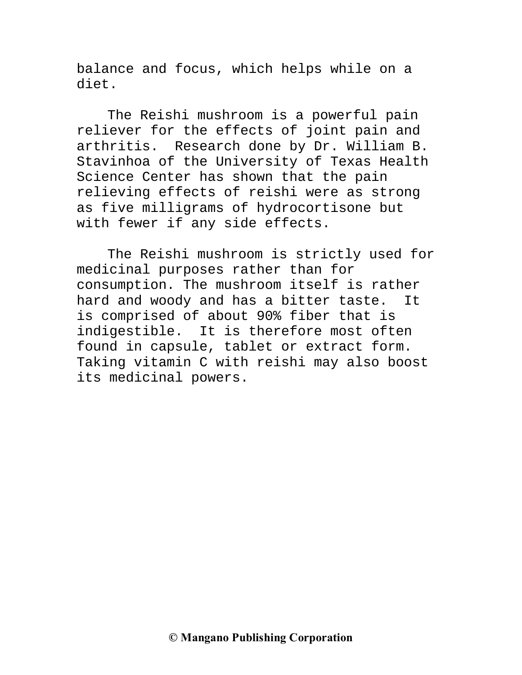balance and focus, which helps while on a diet.

The Reishi mushroom is a powerful pain reliever for the effects of joint pain and arthritis. Research done by Dr. William B. Stavinhoa of the University of Texas Health Science Center has shown that the pain relieving effects of reishi were as strong as five milligrams of hydrocortisone but with fewer if any side effects.

The Reishi mushroom is strictly used for medicinal purposes rather than for consumption. The mushroom itself is rather hard and woody and has a bitter taste. It is comprised of about 90% fiber that is indigestible. It is therefore most often found in capsule, tablet or extract form. Taking vitamin C with reishi may also boost its medicinal powers.